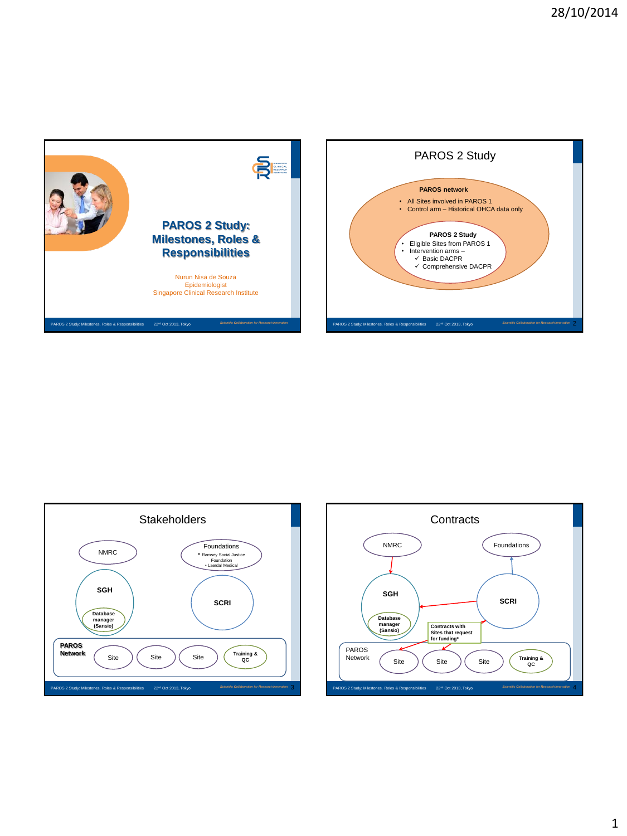



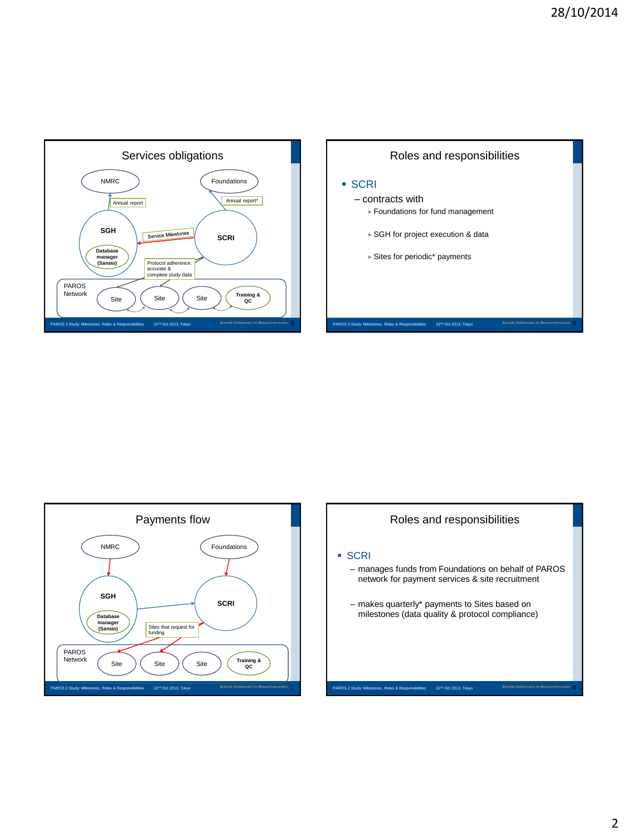





# Roles and responsibilities

#### SCRI

- manages funds from Foundations on behalf of PAROS network for payment services & site recruitment
- makes quarterly\* payments to Sites based on milestones (data quality & protocol compliance)

PAROS 2 Study: Milestones, Roles & Responsibilities <sup>22</sup>nd Oct 2013, Tokyo 8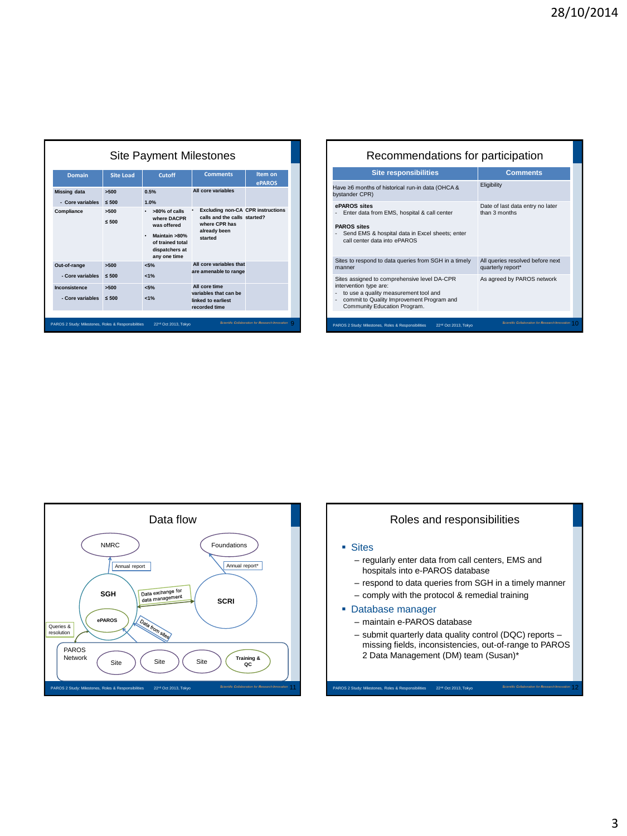| Site Payment Milestones           |                                  |                                                                                                                                    |                                                                                                                      |               | Recommendations for participation                                                                                                                                    |                                                       |
|-----------------------------------|----------------------------------|------------------------------------------------------------------------------------------------------------------------------------|----------------------------------------------------------------------------------------------------------------------|---------------|----------------------------------------------------------------------------------------------------------------------------------------------------------------------|-------------------------------------------------------|
| <b>Domain</b>                     | <b>Site Load</b>                 | <b>Cutoff</b>                                                                                                                      | <b>Comments</b>                                                                                                      | Item on       | <b>Site responsibilities</b>                                                                                                                                         | <b>Comments</b>                                       |
| <b>Missing data</b>               | 5500                             | 0.5%                                                                                                                               | All core variables                                                                                                   | <b>ePAROS</b> | Have ≥6 months of historical run-in data (OHCA &<br>bystander CPR)                                                                                                   | Eligibility                                           |
| - Core variables<br>Compliance    | $\leq 500$<br>>500<br>$\leq 500$ | 1.0%<br>$\cdot$ >80% of calls<br>where DACPR<br>was offered<br>Maintain >80%<br>of trained total<br>dispatchers at<br>any one time | <b>Excluding non-CA CPR instructions</b><br>calls and the calls started?<br>where CPR has<br>already been<br>started |               | ePAROS sites<br>Enter data from EMS, hospital & call center<br><b>PAROS</b> sites<br>Send EMS & hospital data in Excel sheets; enter<br>call center data into ePAROS | Date of last data entry no later<br>than 3 months     |
| Out-of-range                      | 5500                             | $< 5\%$                                                                                                                            | All core variables that<br>are amenable to range                                                                     |               | Sites to respond to data queries from SGH in a timely<br>manner                                                                                                      | All queries resolved before next<br>quarterly report* |
| - Core variables                  | $\leq 500$                       | $1\%$                                                                                                                              |                                                                                                                      |               | Sites assigned to comprehensive level DA-CPR                                                                                                                         | As agreed by PAROS network                            |
| Inconsistence<br>- Core variables | >500<br>$\leq 500$               | $< 5\%$<br>$1\%$                                                                                                                   | All core time<br>variables that can be<br>linked to earliest<br>recorded time                                        |               | intervention type are:<br>to use a quality measurement tool and<br>commit to Quality Improvement Program and<br>Community Education Program.                         |                                                       |

## Recommendations for participation

| <b>Site responsibilities</b>                                                                                                                                                                 | <b>Comments</b>                                       |  |  |
|----------------------------------------------------------------------------------------------------------------------------------------------------------------------------------------------|-------------------------------------------------------|--|--|
| Have ≥6 months of historical run-in data (OHCA &<br>bystander CPR)                                                                                                                           | Eligibility                                           |  |  |
| ePAROS sites<br>Enter data from EMS, hospital & call center<br><b>PAROS</b> sites<br>Send EMS & hospital data in Excel sheets; enter<br>call center data into ePAROS                         | Date of last data entry no later<br>than 3 months     |  |  |
| Sites to respond to data queries from SGH in a timely<br>manner                                                                                                                              | All queries resolved before next<br>quarterly report* |  |  |
| Sites assigned to comprehensive level DA-CPR<br>intervention type are:<br>to use a quality measurement tool and<br>commit to Quality Improvement Program and<br>Community Education Program. | As agreed by PAROS network                            |  |  |
|                                                                                                                                                                                              | Scientific Collaboration for Research Innovation      |  |  |
| PAROS 2 Study: Milestones, Roles & Responsibilities<br>22rd Oct 2013. Tokyo                                                                                                                  |                                                       |  |  |



### Roles and responsibilities

#### **Sites**

- regularly enter data from call centers, EMS and hospitals into e-PAROS database
- respond to data queries from SGH in a timely manner
- comply with the protocol & remedial training

#### **Database manager**

- maintain e-PAROS database
- submit quarterly data quality control (DQC) reports missing fields, inconsistencies, out-of-range to PAROS 2 Data Management (DM) team (Susan)\*